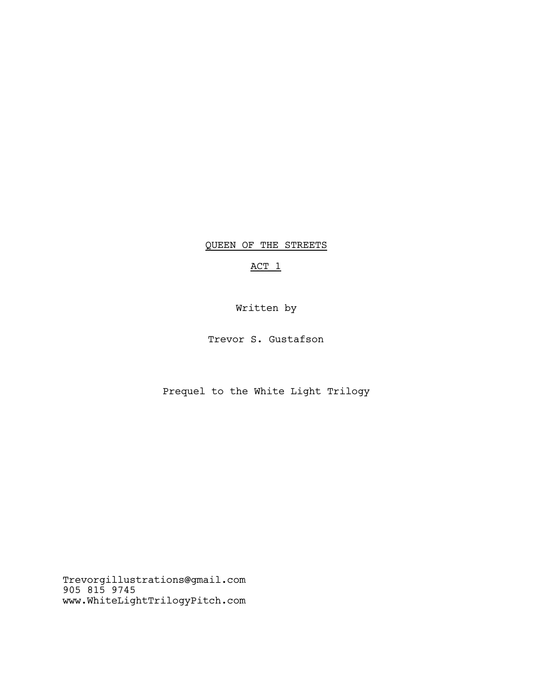QUEEN OF THE STREETS

# ACT 1

Written by

Trevor S. Gustafson

Prequel to the White Light Trilogy

Trevorgillustrations@gmail.com 905 815 9745 www.WhiteLightTrilogyPitch.com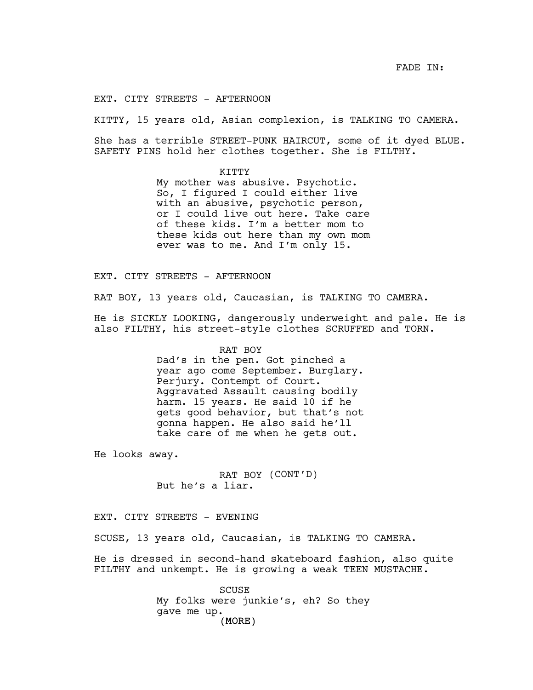FADE IN:

EXT. CITY STREETS - AFTERNOON

KITTY, 15 years old, Asian complexion, is TALKING TO CAMERA.

She has a terrible STREET-PUNK HAIRCUT, some of it dyed BLUE. SAFETY PINS hold her clothes together. She is FILTHY.

KITTY

My mother was abusive. Psychotic. So, I figured I could either live with an abusive, psychotic person, or I could live out here. Take care of these kids. I'm a better mom to these kids out here than my own mom ever was to me. And I'm only 15.

EXT. CITY STREETS - AFTERNOON

RAT BOY, 13 years old, Caucasian, is TALKING TO CAMERA.

He is SICKLY LOOKING, dangerously underweight and pale. He is also FILTHY, his street-style clothes SCRUFFED and TORN.

> RAT BOY Dad's in the pen. Got pinched a year ago come September. Burglary. Perjury. Contempt of Court. Aggravated Assault causing bodily harm. 15 years. He said 10 if he gets good behavior, but that's not gonna happen. He also said he'll take care of me when he gets out.

He looks away.

RAT BOY (CONT'D) But he's a liar.

EXT. CITY STREETS - EVENING

SCUSE, 13 years old, Caucasian, is TALKING TO CAMERA.

He is dressed in second-hand skateboard fashion, also quite FILTHY and unkempt. He is growing a weak TEEN MUSTACHE.

> (MORE) SCUSE My folks were junkie's, eh? So they gave me up.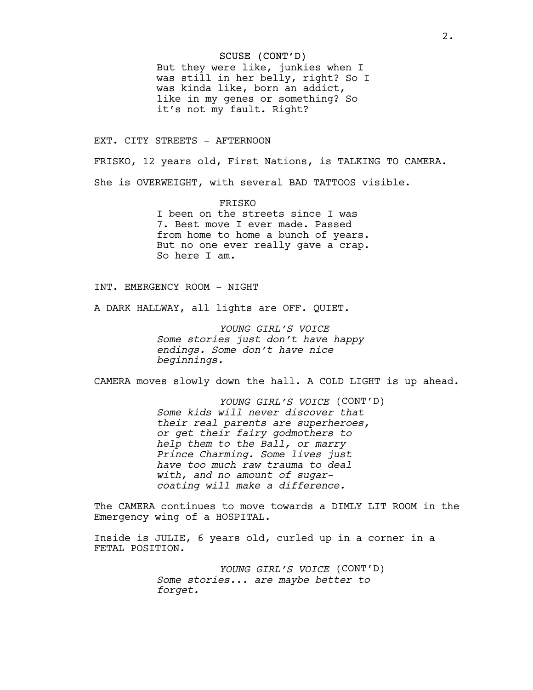### SCUSE (CONT'D)

But they were like, junkies when I was still in her belly, right? So I was kinda like, born an addict, like in my genes or something? So it's not my fault. Right?

### EXT. CITY STREETS - AFTERNOON

FRISKO, 12 years old, First Nations, is TALKING TO CAMERA. She is OVERWEIGHT, with several BAD TATTOOS visible.

> FRISKO I been on the streets since I was 7. Best move I ever made. Passed from home to home a bunch of years. But no one ever really gave a crap. So here I am.

# INT. EMERGENCY ROOM - NIGHT

A DARK HALLWAY, all lights are OFF. QUIET.

*YOUNG GIRL'S VOICE Some stories just don't have happy endings. Some don't have nice beginnings.*

CAMERA moves slowly down the hall. A COLD LIGHT is up ahead.

*YOUNG GIRL'S VOICE* (CONT'D) *Some kids will never discover that their real parents are superheroes, or get their fairy godmothers to help them to the Ball, or marry Prince Charming. Some lives just have too much raw trauma to deal with, and no amount of sugarcoating will make a difference.*

The CAMERA continues to move towards a DIMLY LIT ROOM in the Emergency wing of a HOSPITAL.

Inside is JULIE, 6 years old, curled up in a corner in a FETAL POSITION.

> *YOUNG GIRL'S VOICE* (CONT'D) *Some stories... are maybe better to forget.*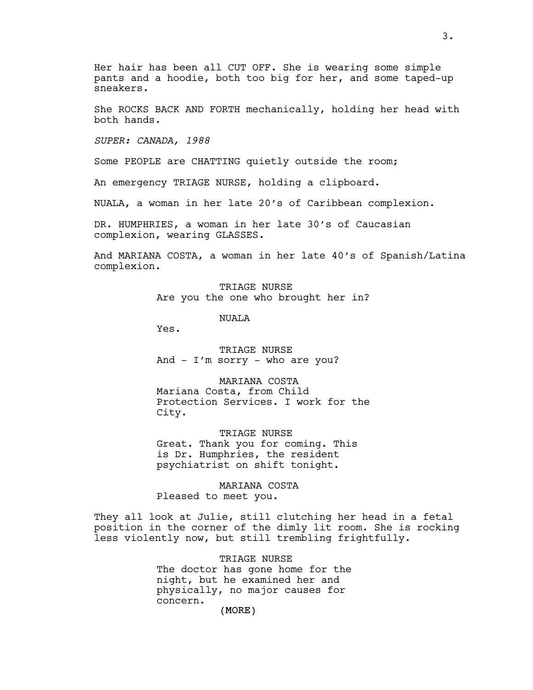Her hair has been all CUT OFF. She is wearing some simple pants and a hoodie, both too big for her, and some taped-up sneakers.

She ROCKS BACK AND FORTH mechanically, holding her head with both hands.

*SUPER: CANADA, 1988*

Some PEOPLE are CHATTING quietly outside the room;

An emergency TRIAGE NURSE, holding a clipboard.

NUALA, a woman in her late 20's of Caribbean complexion.

DR. HUMPHRIES, a woman in her late 30's of Caucasian complexion, wearing GLASSES.

And MARIANA COSTA, a woman in her late 40's of Spanish/Latina complexion.

> TRIAGE NURSE Are you the one who brought her in?

> > NUALA

Yes.

TRIAGE NURSE And - I'm sorry - who are you?

MARIANA COSTA Mariana Costa, from Child Protection Services. I work for the City.

TRIAGE NURSE Great. Thank you for coming. This is Dr. Humphries, the resident psychiatrist on shift tonight.

MARIANA COSTA Pleased to meet you.

They all look at Julie, still clutching her head in a fetal position in the corner of the dimly lit room. She is rocking less violently now, but still trembling frightfully.

> TRIAGE NURSE The doctor has gone home for the night, but he examined her and physically, no major causes for concern.

(MORE)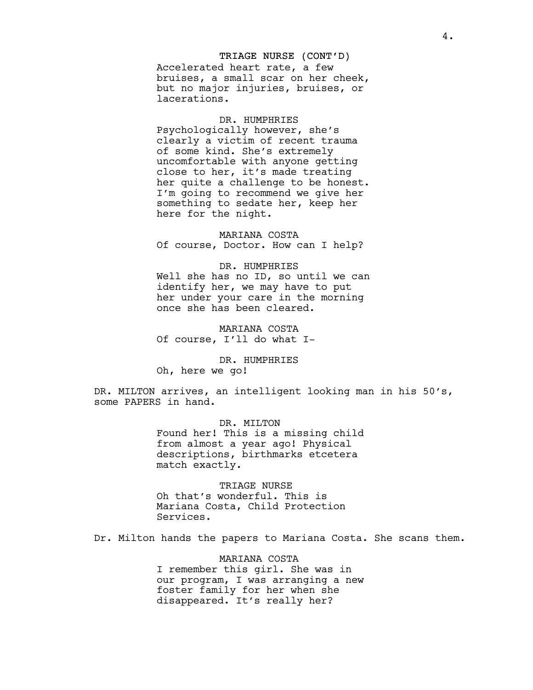### TRIAGE NURSE (CONT'D)

Accelerated heart rate, a few bruises, a small scar on her cheek, but no major injuries, bruises, or lacerations.

#### DR. HUMPHRIES

Psychologically however, she's clearly a victim of recent trauma of some kind. She's extremely uncomfortable with anyone getting close to her, it's made treating her quite a challenge to be honest. I'm going to recommend we give her something to sedate her, keep her here for the night.

MARIANA COSTA Of course, Doctor. How can I help?

#### DR. HUMPHRIES

Well she has no ID, so until we can identify her, we may have to put her under your care in the morning once she has been cleared.

MARIANA COSTA Of course, I'll do what I-

DR. HUMPHRIES Oh, here we go!

DR. MILTON arrives, an intelligent looking man in his 50's, some PAPERS in hand.

> DR. MILTON Found her! This is a missing child from almost a year ago! Physical descriptions, birthmarks etcetera match exactly.

TRIAGE NURSE Oh that's wonderful. This is Mariana Costa, Child Protection Services.

Dr. Milton hands the papers to Mariana Costa. She scans them.

MARIANA COSTA I remember this girl. She was in our program, I was arranging a new foster family for her when she disappeared. It's really her?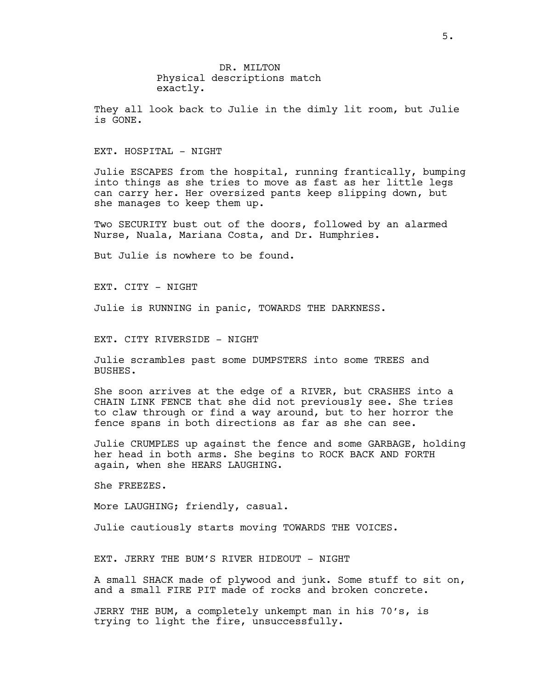DR. MILTON Physical descriptions match exactly.

They all look back to Julie in the dimly lit room, but Julie is GONE.

EXT. HOSPITAL - NIGHT

Julie ESCAPES from the hospital, running frantically, bumping into things as she tries to move as fast as her little legs can carry her. Her oversized pants keep slipping down, but she manages to keep them up.

Two SECURITY bust out of the doors, followed by an alarmed Nurse, Nuala, Mariana Costa, and Dr. Humphries.

But Julie is nowhere to be found.

EXT. CITY - NIGHT

Julie is RUNNING in panic, TOWARDS THE DARKNESS.

EXT. CITY RIVERSIDE - NIGHT

Julie scrambles past some DUMPSTERS into some TREES and BUSHES.

She soon arrives at the edge of a RIVER, but CRASHES into a CHAIN LINK FENCE that she did not previously see. She tries to claw through or find a way around, but to her horror the fence spans in both directions as far as she can see.

Julie CRUMPLES up against the fence and some GARBAGE, holding her head in both arms. She begins to ROCK BACK AND FORTH again, when she HEARS LAUGHING.

She FREEZES.

More LAUGHING; friendly, casual.

Julie cautiously starts moving TOWARDS THE VOICES.

EXT. JERRY THE BUM'S RIVER HIDEOUT - NIGHT

A small SHACK made of plywood and junk. Some stuff to sit on, and a small FIRE PIT made of rocks and broken concrete.

JERRY THE BUM, a completely unkempt man in his 70's, is trying to light the fire, unsuccessfully.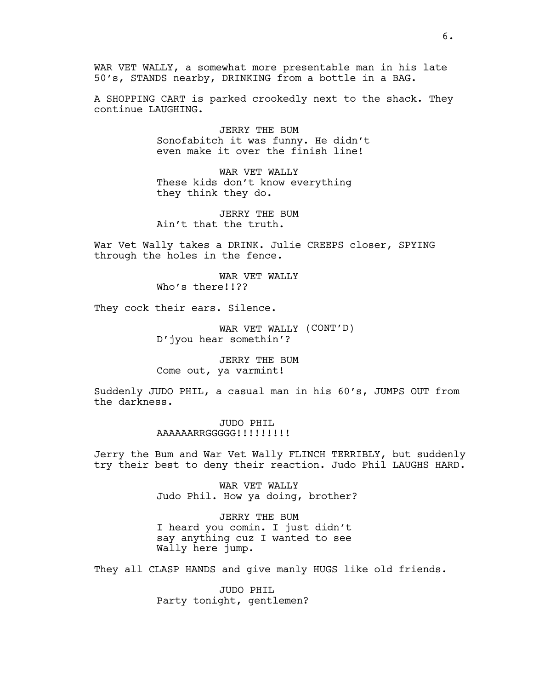WAR VET WALLY, a somewhat more presentable man in his late 50's, STANDS nearby, DRINKING from a bottle in a BAG.

A SHOPPING CART is parked crookedly next to the shack. They continue LAUGHING.

> JERRY THE BUM Sonofabitch it was funny. He didn't even make it over the finish line!

WAR VET WALLY These kids don't know everything they think they do.

JERRY THE BUM Ain't that the truth.

War Vet Wally takes a DRINK. Julie CREEPS closer, SPYING through the holes in the fence.

> WAR VET WALLY Who's there!!??

They cock their ears. Silence.

WAR VET WALLY (CONT'D) D'jyou hear somethin'?

JERRY THE BUM Come out, ya varmint!

Suddenly JUDO PHIL, a casual man in his 60's, JUMPS OUT from the darkness.

> JUDO PHIL AAAAAARRGGGGG!!!!!!!!!!

Jerry the Bum and War Vet Wally FLINCH TERRIBLY, but suddenly try their best to deny their reaction. Judo Phil LAUGHS HARD.

> WAR VET WALLY Judo Phil. How ya doing, brother?

JERRY THE BUM I heard you comin. I just didn't say anything cuz I wanted to see Wally here jump.

They all CLASP HANDS and give manly HUGS like old friends.

JUDO PHIL Party tonight, gentlemen?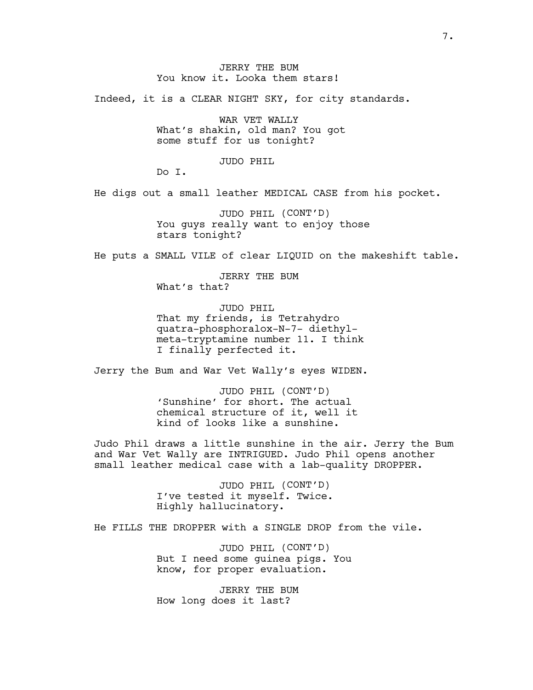# JERRY THE BUM You know it. Looka them stars!

Indeed, it is a CLEAR NIGHT SKY, for city standards.

WAR VET WALLY What's shakin, old man? You got some stuff for us tonight?

## JUDO PHIL

Do I.

He digs out a small leather MEDICAL CASE from his pocket.

JUDO PHIL (CONT'D) You guys really want to enjoy those stars tonight?

He puts a SMALL VILE of clear LIQUID on the makeshift table.

JERRY THE BUM What's that?

JUDO PHIL That my friends, is Tetrahydro quatra-phosphoralox-N-7- diethylmeta-tryptamine number 11. I think I finally perfected it.

Jerry the Bum and War Vet Wally's eyes WIDEN.

JUDO PHIL (CONT'D) 'Sunshine' for short. The actual chemical structure of it, well it kind of looks like a sunshine.

Judo Phil draws a little sunshine in the air. Jerry the Bum and War Vet Wally are INTRIGUED. Judo Phil opens another small leather medical case with a lab-quality DROPPER.

> JUDO PHIL (CONT'D) I've tested it myself. Twice. Highly hallucinatory.

He FILLS THE DROPPER with a SINGLE DROP from the vile.

JUDO PHIL (CONT'D) But I need some guinea pigs. You know, for proper evaluation.

JERRY THE BUM How long does it last?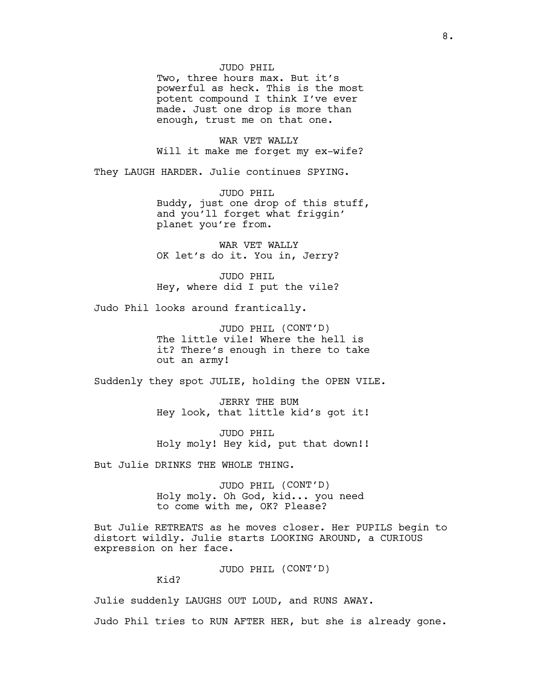## JUDO PHIL

Two, three hours max. But it's powerful as heck. This is the most potent compound I think I've ever made. Just one drop is more than enough, trust me on that one.

WAR VET WALLY Will it make me forget my ex-wife?

They LAUGH HARDER. Julie continues SPYING.

JUDO PHIL Buddy, just one drop of this stuff, and you'll forget what friggin' planet you're from.

WAR VET WALLY OK let's do it. You in, Jerry?

JUDO PHIL Hey, where did I put the vile?

Judo Phil looks around frantically.

JUDO PHIL (CONT'D) The little vile! Where the hell is it? There's enough in there to take out an army!

Suddenly they spot JULIE, holding the OPEN VILE.

JERRY THE BUM Hey look, that little kid's got it!

JUDO PHIL Holy moly! Hey kid, put that down!!

But Julie DRINKS THE WHOLE THING.

JUDO PHIL (CONT'D) Holy moly. Oh God, kid... you need to come with me, OK? Please?

But Julie RETREATS as he moves closer. Her PUPILS begin to distort wildly. Julie starts LOOKING AROUND, a CURIOUS expression on her face.

JUDO PHIL (CONT'D)

Kid?

Julie suddenly LAUGHS OUT LOUD, and RUNS AWAY.

Judo Phil tries to RUN AFTER HER, but she is already gone.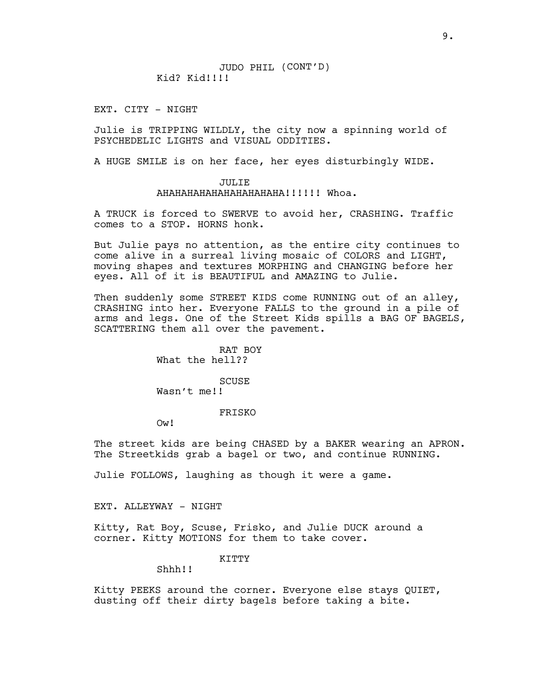JUDO PHIL (CONT'D) Kid? Kid!!!!!

EXT. CITY - NIGHT

Julie is TRIPPING WILDLY, the city now a spinning world of PSYCHEDELIC LIGHTS and VISUAL ODDITIES.

A HUGE SMILE is on her face, her eyes disturbingly WIDE.

# JULIE

AHAHAHAHAHAHAHAHAHAHA!!!!!! Whoa.

A TRUCK is forced to SWERVE to avoid her, CRASHING. Traffic comes to a STOP. HORNS honk.

But Julie pays no attention, as the entire city continues to come alive in a surreal living mosaic of COLORS and LIGHT, moving shapes and textures MORPHING and CHANGING before her eyes. All of it is BEAUTIFUL and AMAZING to Julie.

Then suddenly some STREET KIDS come RUNNING out of an alley, CRASHING into her. Everyone FALLS to the ground in a pile of arms and legs. One of the Street Kids spills a BAG OF BAGELS, SCATTERING them all over the pavement.

> RAT BOY What the hell??

**SCUSE** Wasn't me!!

FRISKO

Ow!

The street kids are being CHASED by a BAKER wearing an APRON. The Streetkids grab a bagel or two, and continue RUNNING.

Julie FOLLOWS, laughing as though it were a game.

EXT. ALLEYWAY - NIGHT

Kitty, Rat Boy, Scuse, Frisko, and Julie DUCK around a corner. Kitty MOTIONS for them to take cover.

#### KITTY

Shhh!!

Kitty PEEKS around the corner. Everyone else stays QUIET, dusting off their dirty bagels before taking a bite.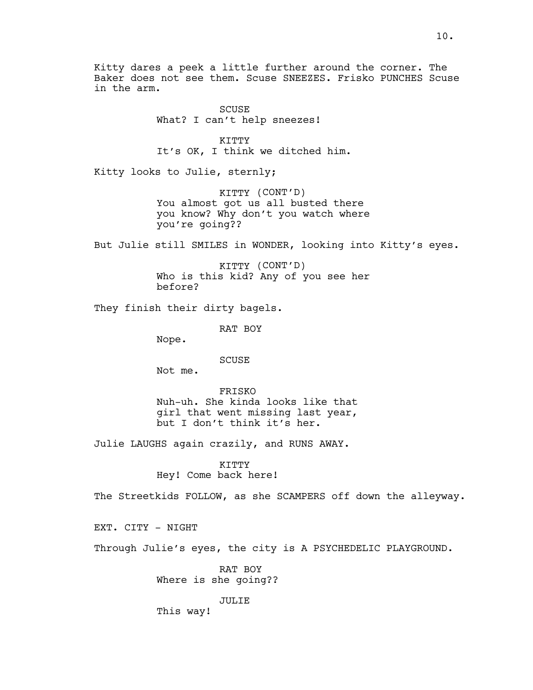Kitty dares a peek a little further around the corner. The Baker does not see them. Scuse SNEEZES. Frisko PUNCHES Scuse in the arm.

> SCUSE What? I can't help sneezes!

KITTY It's OK, I think we ditched him.

Kitty looks to Julie, sternly;

KITTY (CONT'D) You almost got us all busted there you know? Why don't you watch where you're going??

But Julie still SMILES in WONDER, looking into Kitty's eyes.

KITTY (CONT'D) Who is this kid? Any of you see her before?

They finish their dirty bagels.

RAT BOY

Nope.

SCUSE

Not me.

FRISKO Nuh-uh. She kinda looks like that girl that went missing last year, but I don't think it's her.

Julie LAUGHS again crazily, and RUNS AWAY.

KITTY Hey! Come back here!

The Streetkids FOLLOW, as she SCAMPERS off down the alleyway.

EXT. CITY - NIGHT

Through Julie's eyes, the city is A PSYCHEDELIC PLAYGROUND.

RAT BOY Where is she going??

JULIE

This way!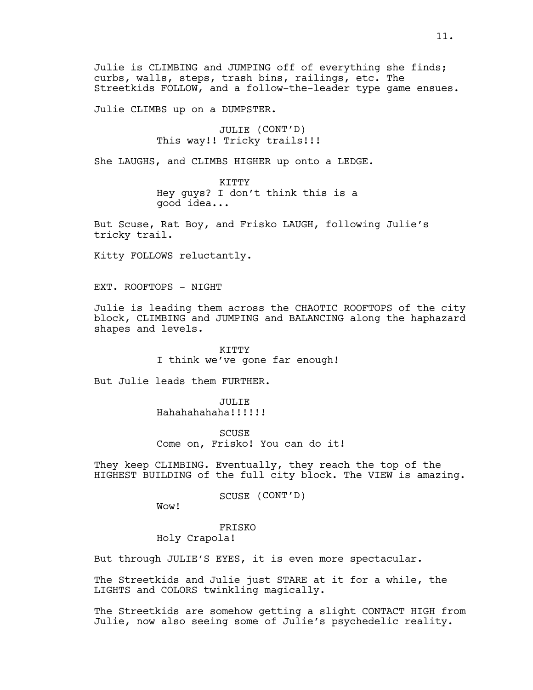Julie is CLIMBING and JUMPING off of everything she finds; curbs, walls, steps, trash bins, railings, etc. The Streetkids FOLLOW, and a follow-the-leader type game ensues.

Julie CLIMBS up on a DUMPSTER.

JULIE (CONT'D) This way!! Tricky trails!!!

She LAUGHS, and CLIMBS HIGHER up onto a LEDGE.

KITTY Hey guys? I don't think this is a good idea...

But Scuse, Rat Boy, and Frisko LAUGH, following Julie's tricky trail.

Kitty FOLLOWS reluctantly.

EXT. ROOFTOPS - NIGHT

Julie is leading them across the CHAOTIC ROOFTOPS of the city block, CLIMBING and JUMPING and BALANCING along the haphazard shapes and levels.

> KITTY I think we've gone far enough!

But Julie leads them FURTHER.

JULIE Hahahahahaha!!!!!!

**SCUSE** Come on, Frisko! You can do it!

They keep CLIMBING. Eventually, they reach the top of the HIGHEST BUILDING of the full city block. The VIEW is amazing.

SCUSE (CONT'D)

Wow!

FRISKO Holy Crapola!

But through JULIE'S EYES, it is even more spectacular.

The Streetkids and Julie just STARE at it for a while, the LIGHTS and COLORS twinkling magically.

The Streetkids are somehow getting a slight CONTACT HIGH from Julie, now also seeing some of Julie's psychedelic reality.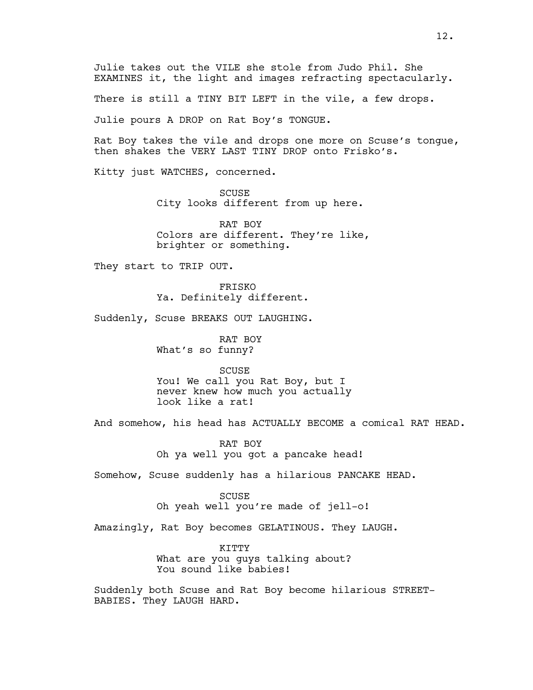Julie takes out the VILE she stole from Judo Phil. She EXAMINES it, the light and images refracting spectacularly.

There is still a TINY BIT LEFT in the vile, a few drops.

Julie pours A DROP on Rat Boy's TONGUE.

Rat Boy takes the vile and drops one more on Scuse's tongue, then shakes the VERY LAST TINY DROP onto Frisko's.

Kitty just WATCHES, concerned.

SCUSE City looks different from up here.

RAT BOY Colors are different. They're like, brighter or something.

They start to TRIP OUT.

FRISKO Ya. Definitely different.

Suddenly, Scuse BREAKS OUT LAUGHING.

RAT BOY What's so funny?

**SCUSE** You! We call you Rat Boy, but I never knew how much you actually look like a rat!

And somehow, his head has ACTUALLY BECOME a comical RAT HEAD.

RAT BOY Oh ya well you got a pancake head!

Somehow, Scuse suddenly has a hilarious PANCAKE HEAD.

#### SCUSE

Oh yeah well you're made of jell-o!

Amazingly, Rat Boy becomes GELATINOUS. They LAUGH.

KITTY What are you guys talking about? You sound like babies!

Suddenly both Scuse and Rat Boy become hilarious STREET-BABIES. They LAUGH HARD.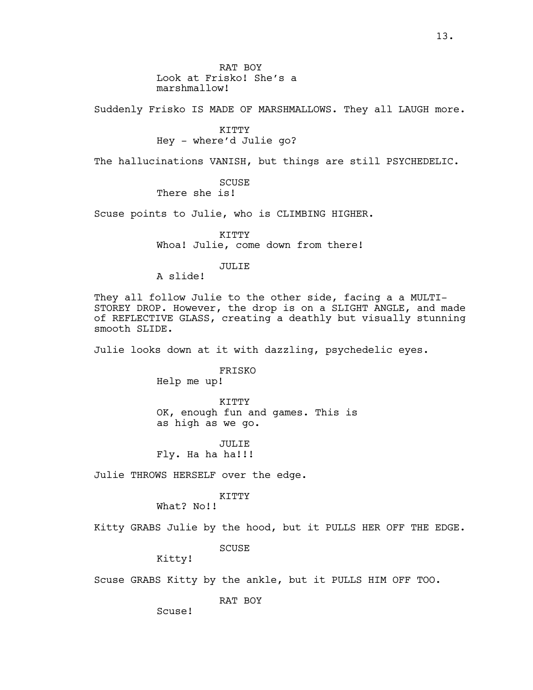RAT BOY Look at Frisko! She's a marshmallow!

Suddenly Frisko IS MADE OF MARSHMALLOWS. They all LAUGH more.

KITTY Hey - where'd Julie go?

The hallucinations VANISH, but things are still PSYCHEDELIC.

**SCUSE** There she is!

Scuse points to Julie, who is CLIMBING HIGHER.

KITTY Whoa! Julie, come down from there!

## JULIE

A slide!

They all follow Julie to the other side, facing a a MULTI-STOREY DROP. However, the drop is on a SLIGHT ANGLE, and made of REFLECTIVE GLASS, creating a deathly but visually stunning smooth SLIDE.

Julie looks down at it with dazzling, psychedelic eyes.

FRISKO

Help me up!

KITTY OK, enough fun and games. This is as high as we go.

JULIE<sup>T</sup> Fly. Ha ha ha!!!

Julie THROWS HERSELF over the edge.

# KITTY

What? No!!

Kitty GRABS Julie by the hood, but it PULLS HER OFF THE EDGE.

**SCUSE** 

Kitty!

Scuse GRABS Kitty by the ankle, but it PULLS HIM OFF TOO.

RAT BOY

Scuse!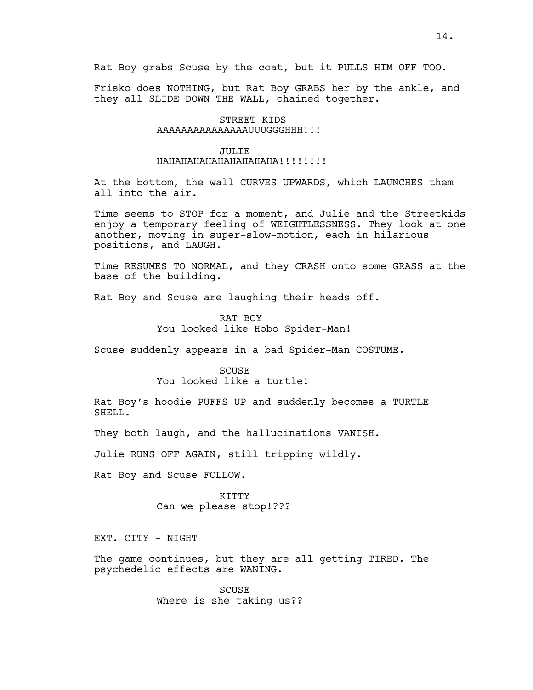Frisko does NOTHING, but Rat Boy GRABS her by the ankle, and they all SLIDE DOWN THE WALL, chained together.

# STREET KIDS AAAAAAAAAAAAAAAUUUGGGHHH!!!

# JULIE

# HAHAHAHAHAHAHAHAHAHA!!!!!!!!

At the bottom, the wall CURVES UPWARDS, which LAUNCHES them all into the air.

Time seems to STOP for a moment, and Julie and the Streetkids enjoy a temporary feeling of WEIGHTLESSNESS. They look at one another, moving in super-slow-motion, each in hilarious positions, and LAUGH.

Time RESUMES TO NORMAL, and they CRASH onto some GRASS at the base of the building.

Rat Boy and Scuse are laughing their heads off.

RAT BOY You looked like Hobo Spider-Man!

Scuse suddenly appears in a bad Spider-Man COSTUME.

# SCUSE You looked like a turtle!

Rat Boy's hoodie PUFFS UP and suddenly becomes a TURTLE SHELL.

They both laugh, and the hallucinations VANISH.

Julie RUNS OFF AGAIN, still tripping wildly.

Rat Boy and Scuse FOLLOW.

KITTY Can we please stop!???

EXT. CITY - NIGHT

The game continues, but they are all getting TIRED. The psychedelic effects are WANING.

> SCUSE Where is she taking us??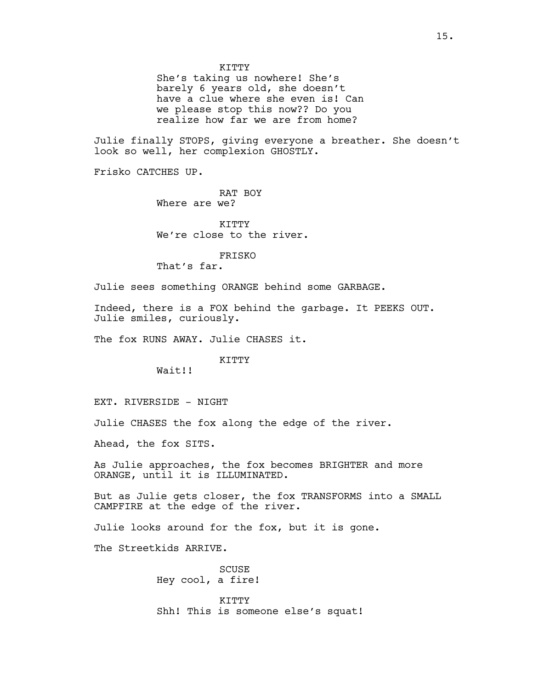She's taking us nowhere! She's barely 6 years old, she doesn't have a clue where she even is! Can we please stop this now?? Do you realize how far we are from home?

Julie finally STOPS, giving everyone a breather. She doesn't look so well, her complexion GHOSTLY.

Frisko CATCHES UP.

RAT BOY Where are we?

**KTTTY** We're close to the river.

FRISKO

That's far.

Julie sees something ORANGE behind some GARBAGE.

Indeed, there is a FOX behind the garbage. It PEEKS OUT. Julie smiles, curiously.

The fox RUNS AWAY. Julie CHASES it.

KITTY

Wait!!

EXT. RIVERSIDE - NIGHT

Julie CHASES the fox along the edge of the river.

Ahead, the fox SITS.

As Julie approaches, the fox becomes BRIGHTER and more ORANGE, until it is ILLUMINATED.

But as Julie gets closer, the fox TRANSFORMS into a SMALL CAMPFIRE at the edge of the river.

Julie looks around for the fox, but it is gone.

The Streetkids ARRIVE.

SCUSE Hey cool, a fire!

KITTY Shh! This is someone else's squat!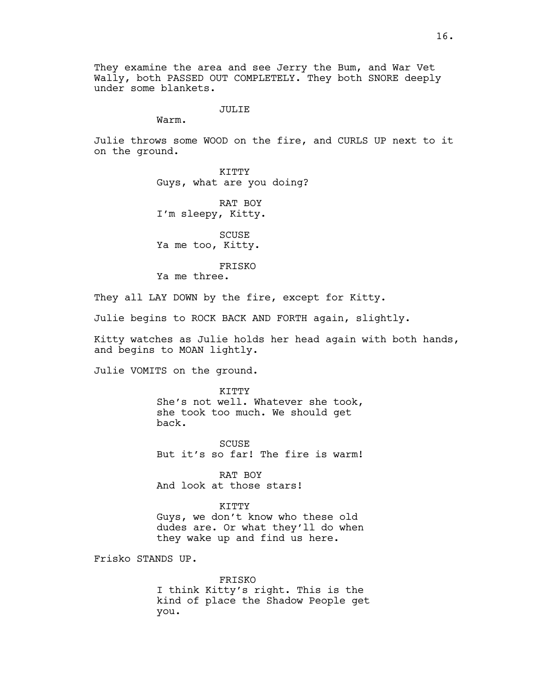They examine the area and see Jerry the Bum, and War Vet Wally, both PASSED OUT COMPLETELY. They both SNORE deeply under some blankets.

### JULIE

Warm.

Julie throws some WOOD on the fire, and CURLS UP next to it on the ground.

> KITTY Guys, what are you doing?

RAT BOY I'm sleepy, Kitty.

SCUSE Ya me too, Kitty.

FRISKO

Ya me three.

They all LAY DOWN by the fire, except for Kitty.

Julie begins to ROCK BACK AND FORTH again, slightly.

Kitty watches as Julie holds her head again with both hands, and begins to MOAN lightly.

Julie VOMITS on the ground.

KITTY She's not well. Whatever she took, she took too much. We should get back.

**SCUSE** But it's so far! The fire is warm!

RAT BOY And look at those stars!

KITTY Guys, we don't know who these old dudes are. Or what they'll do when they wake up and find us here.

Frisko STANDS UP.

FRISKO I think Kitty's right. This is the kind of place the Shadow People get you.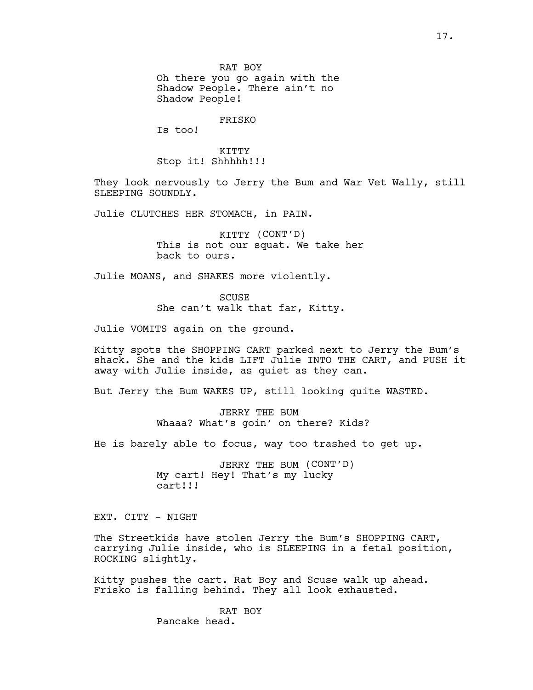RAT BOY Oh there you go again with the Shadow People. There ain't no Shadow People!

FRISKO

Is too!

KITTY Stop it! Shhhhh!!!

They look nervously to Jerry the Bum and War Vet Wally, still SLEEPING SOUNDLY.

Julie CLUTCHES HER STOMACH, in PAIN.

KITTY (CONT'D) This is not our squat. We take her back to ours.

Julie MOANS, and SHAKES more violently.

**SCUSE** She can't walk that far, Kitty.

Julie VOMITS again on the ground.

Kitty spots the SHOPPING CART parked next to Jerry the Bum's shack. She and the kids LIFT Julie INTO THE CART, and PUSH it away with Julie inside, as quiet as they can.

But Jerry the Bum WAKES UP, still looking quite WASTED.

JERRY THE BUM Whaaa? What's goin' on there? Kids?

He is barely able to focus, way too trashed to get up.

JERRY THE BUM (CONT'D) My cart! Hey! That's my lucky cart!!!

EXT. CITY - NIGHT

The Streetkids have stolen Jerry the Bum's SHOPPING CART, carrying Julie inside, who is SLEEPING in a fetal position, ROCKING slightly.

Kitty pushes the cart. Rat Boy and Scuse walk up ahead. Frisko is falling behind. They all look exhausted.

> RAT BOY Pancake head.